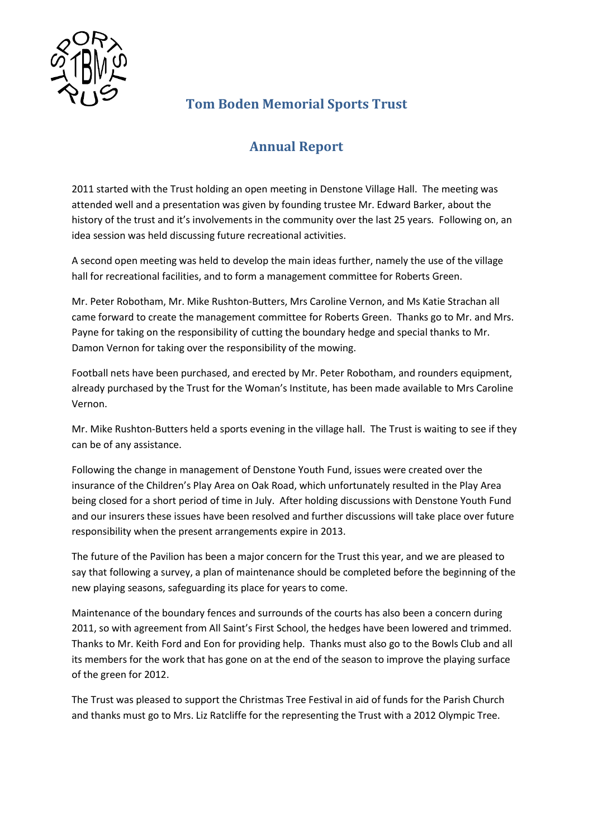

## **Tom Boden Memorial Sports Trust**

## **Annual Report**

2011 started with the Trust holding an open meeting in Denstone Village Hall. The meeting was attended well and a presentation was given by founding trustee Mr. Edward Barker, about the history of the trust and it's involvements in the community over the last 25 years. Following on, an idea session was held discussing future recreational activities.

A second open meeting was held to develop the main ideas further, namely the use of the village hall for recreational facilities, and to form a management committee for Roberts Green.

Mr. Peter Robotham, Mr. Mike Rushton-Butters, Mrs Caroline Vernon, and Ms Katie Strachan all came forward to create the management committee for Roberts Green. Thanks go to Mr. and Mrs. Payne for taking on the responsibility of cutting the boundary hedge and special thanks to Mr. Damon Vernon for taking over the responsibility of the mowing.

Football nets have been purchased, and erected by Mr. Peter Robotham, and rounders equipment, already purchased by the Trust for the Woman's Institute, has been made available to Mrs Caroline Vernon.

Mr. Mike Rushton-Butters held a sports evening in the village hall. The Trust is waiting to see if they can be of any assistance.

Following the change in management of Denstone Youth Fund, issues were created over the insurance of the Children's Play Area on Oak Road, which unfortunately resulted in the Play Area being closed for a short period of time in July. After holding discussions with Denstone Youth Fund and our insurers these issues have been resolved and further discussions will take place over future responsibility when the present arrangements expire in 2013.

The future of the Pavilion has been a major concern for the Trust this year, and we are pleased to say that following a survey, a plan of maintenance should be completed before the beginning of the new playing seasons, safeguarding its place for years to come.

Maintenance of the boundary fences and surrounds of the courts has also been a concern during 2011, so with agreement from All Saint's First School, the hedges have been lowered and trimmed. Thanks to Mr. Keith Ford and Eon for providing help. Thanks must also go to the Bowls Club and all its members for the work that has gone on at the end of the season to improve the playing surface of the green for 2012.

The Trust was pleased to support the Christmas Tree Festival in aid of funds for the Parish Church and thanks must go to Mrs. Liz Ratcliffe for the representing the Trust with a 2012 Olympic Tree.